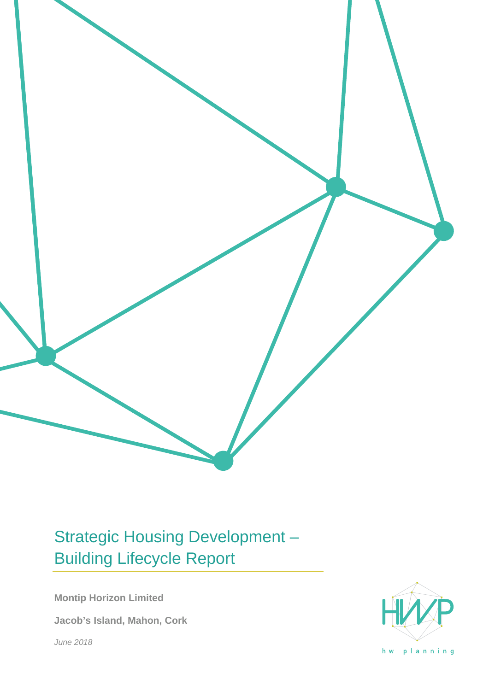

# Strategic Housing Development – Building Lifecycle Report

**Montip Horizon Limited**

**Jacob's Island, Mahon, Cork**

*June 2018*



hw planning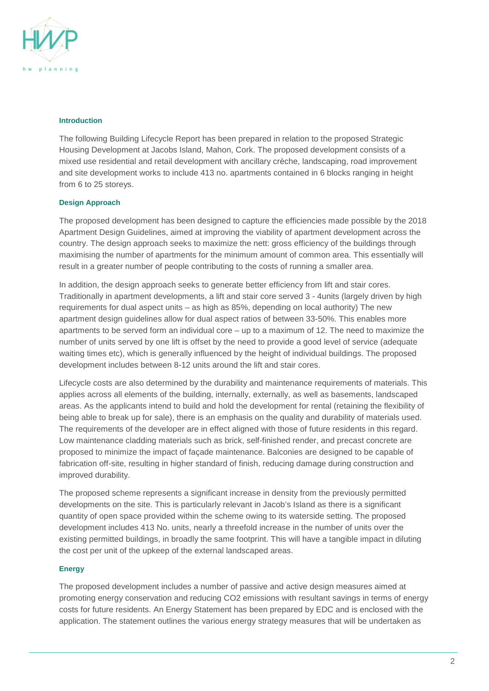

#### **Introduction**

The following Building Lifecycle Report has been prepared in relation to the proposed Strategic Housing Development at Jacobs Island, Mahon, Cork. The proposed development consists of a mixed use residential and retail development with ancillary crèche, landscaping, road improvement and site development works to include 413 no. apartments contained in 6 blocks ranging in height from 6 to 25 storeys.

### **Design Approach**

The proposed development has been designed to capture the efficiencies made possible by the 2018 Apartment Design Guidelines, aimed at improving the viability of apartment development across the country. The design approach seeks to maximize the nett: gross efficiency of the buildings through maximising the number of apartments for the minimum amount of common area. This essentially will result in a greater number of people contributing to the costs of running a smaller area.

In addition, the design approach seeks to generate better efficiency from lift and stair cores. Traditionally in apartment developments, a lift and stair core served 3 - 4units (largely driven by high requirements for dual aspect units – as high as 85%, depending on local authority) The new apartment design guidelines allow for dual aspect ratios of between 33-50%. This enables more apartments to be served form an individual core – up to a maximum of 12. The need to maximize the number of units served by one lift is offset by the need to provide a good level of service (adequate waiting times etc), which is generally influenced by the height of individual buildings. The proposed development includes between 8-12 units around the lift and stair cores.

Lifecycle costs are also determined by the durability and maintenance requirements of materials. This applies across all elements of the building, internally, externally, as well as basements, landscaped areas. As the applicants intend to build and hold the development for rental (retaining the flexibility of being able to break up for sale), there is an emphasis on the quality and durability of materials used. The requirements of the developer are in effect aligned with those of future residents in this regard. Low maintenance cladding materials such as brick, self-finished render, and precast concrete are proposed to minimize the impact of façade maintenance. Balconies are designed to be capable of fabrication off-site, resulting in higher standard of finish, reducing damage during construction and improved durability.

The proposed scheme represents a significant increase in density from the previously permitted developments on the site. This is particularly relevant in Jacob's Island as there is a significant quantity of open space provided within the scheme owing to its waterside setting. The proposed development includes 413 No. units, nearly a threefold increase in the number of units over the existing permitted buildings, in broadly the same footprint. This will have a tangible impact in diluting the cost per unit of the upkeep of the external landscaped areas.

#### **Energy**

The proposed development includes a number of passive and active design measures aimed at promoting energy conservation and reducing CO2 emissions with resultant savings in terms of energy costs for future residents. An Energy Statement has been prepared by EDC and is enclosed with the application. The statement outlines the various energy strategy measures that will be undertaken as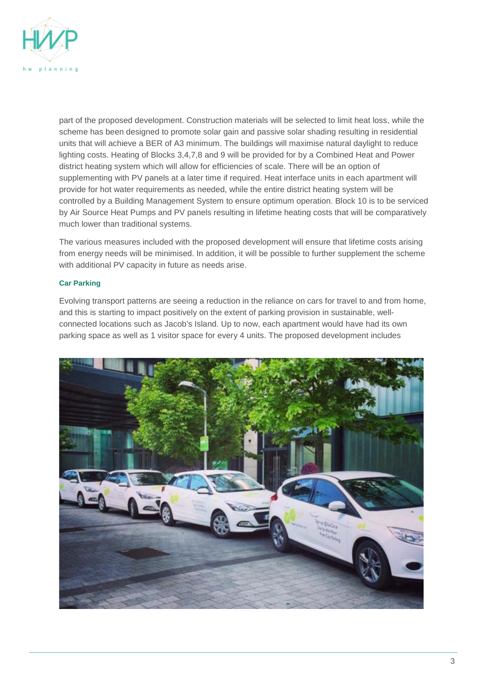

part of the proposed development. Construction materials will be selected to limit heat loss, while the scheme has been designed to promote solar gain and passive solar shading resulting in residential units that will achieve a BER of A3 minimum. The buildings will maximise natural daylight to reduce lighting costs. Heating of Blocks 3,4,7,8 and 9 will be provided for by a Combined Heat and Power district heating system which will allow for efficiencies of scale. There will be an option of supplementing with PV panels at a later time if required. Heat interface units in each apartment will provide for hot water requirements as needed, while the entire district heating system will be controlled by a Building Management System to ensure optimum operation. Block 10 is to be serviced by Air Source Heat Pumps and PV panels resulting in lifetime heating costs that will be comparatively much lower than traditional systems.

The various measures included with the proposed development will ensure that lifetime costs arising from energy needs will be minimised. In addition, it will be possible to further supplement the scheme with additional PV capacity in future as needs arise.

#### **Car Parking**

Evolving transport patterns are seeing a reduction in the reliance on cars for travel to and from home, and this is starting to impact positively on the extent of parking provision in sustainable, wellconnected locations such as Jacob's Island. Up to now, each apartment would have had its own parking space as well as 1 visitor space for every 4 units. The proposed development includes